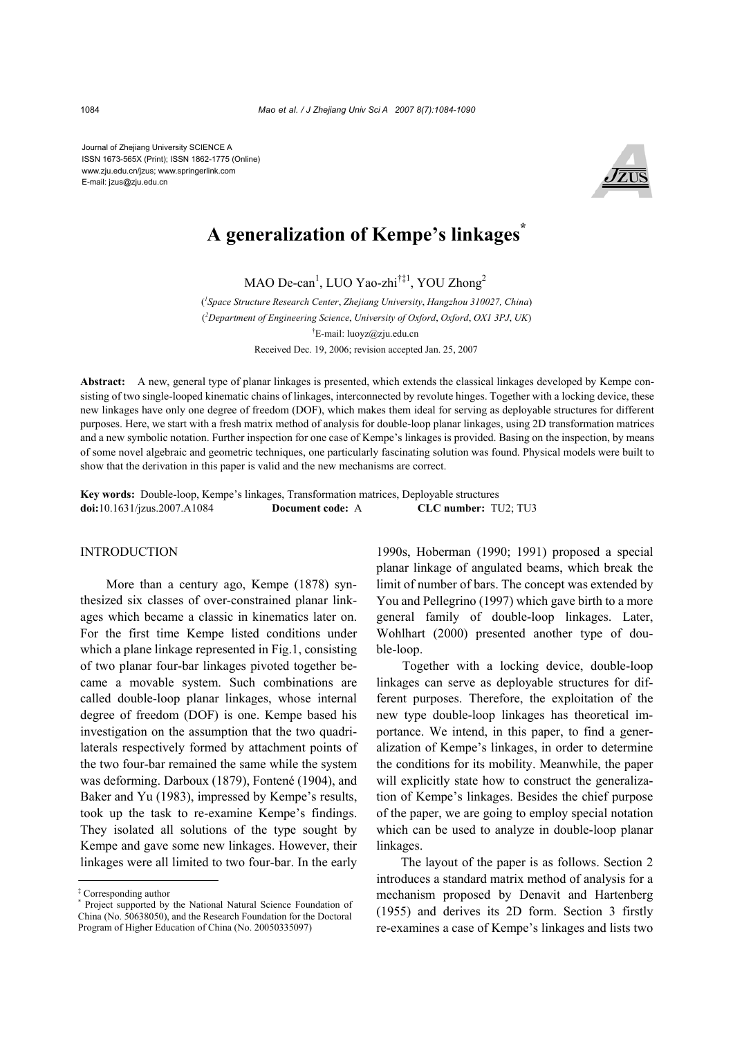Journal of Zhejiang University SCIENCE A ISSN 1673-565X (Print); ISSN 1862-1775 (Online) www.zju.edu.cn/jzus; www.springerlink.com E-mail: jzus@zju.edu.cn



# **A generalization of Kempe's linkages\***

MAO De-can<sup>1</sup>, LUO Yao-zhi<sup>†‡1</sup>, YOU Zhong<sup>2</sup>

( *1 Space Structure Research Center*, *Zhejiang University*, *Hangzhou 310027, China*) ( *2 Department of Engineering Science*, *University of Oxford*, *Oxford*, *OX1 3PJ*, *UK*) † E-mail: luoyz@zju.edu.cn Received Dec. 19, 2006; revision accepted Jan. 25, 2007

**Abstract:** A new, general type of planar linkages is presented, which extends the classical linkages developed by Kempe consisting of two single-looped kinematic chains of linkages, interconnected by revolute hinges. Together with a locking device, these new linkages have only one degree of freedom (DOF), which makes them ideal for serving as deployable structures for different purposes. Here, we start with a fresh matrix method of analysis for double-loop planar linkages, using 2D transformation matrices and a new symbolic notation. Further inspection for one case of Kempe's linkages is provided. Basing on the inspection, by means of some novel algebraic and geometric techniques, one particularly fascinating solution was found. Physical models were built to show that the derivation in this paper is valid and the new mechanisms are correct.

**Key words:** Double-loop, Kempe's linkages, Transformation matrices, Deployable structures **doi:**10.1631/jzus.2007.A1084 **Document code:** A **CLC number:** TU2; TU3

## INTRODUCTION

More than a century ago, Kempe (1878) synthesized six classes of over-constrained planar linkages which became a classic in kinematics later on. For the first time Kempe listed conditions under which a plane linkage represented in Fig.1, consisting of two planar four-bar linkages pivoted together became a movable system. Such combinations are called double-loop planar linkages, whose internal degree of freedom (DOF) is one. Kempe based his investigation on the assumption that the two quadrilaterals respectively formed by attachment points of the two four-bar remained the same while the system was deforming. Darboux (1879), Fontené (1904), and Baker and Yu (1983), impressed by Kempe's results, took up the task to re-examine Kempe's findings. They isolated all solutions of the type sought by Kempe and gave some new linkages. However, their linkages were all limited to two four-bar. In the early

1990s, Hoberman (1990; 1991) proposed a special planar linkage of angulated beams, which break the limit of number of bars. The concept was extended by You and Pellegrino (1997) which gave birth to a more general family of double-loop linkages. Later, Wohlhart (2000) presented another type of double-loop.

Together with a locking device, double-loop linkages can serve as deployable structures for different purposes. Therefore, the exploitation of the new type double-loop linkages has theoretical importance. We intend, in this paper, to find a generalization of Kempe's linkages, in order to determine the conditions for its mobility. Meanwhile, the paper will explicitly state how to construct the generalization of Kempe's linkages. Besides the chief purpose of the paper, we are going to employ special notation which can be used to analyze in double-loop planar linkages.

The layout of the paper is as follows. Section 2 introduces a standard matrix method of analysis for a mechanism proposed by Denavit and Hartenberg (1955) and derives its 2D form. Section 3 firstly re-examines a case of Kempe's linkages and lists two

<sup>‡</sup> Corresponding author

<sup>\*</sup> Project supported by the National Natural Science Foundation of China (No. 50638050), and the Research Foundation for the Doctoral Program of Higher Education of China (No. 20050335097)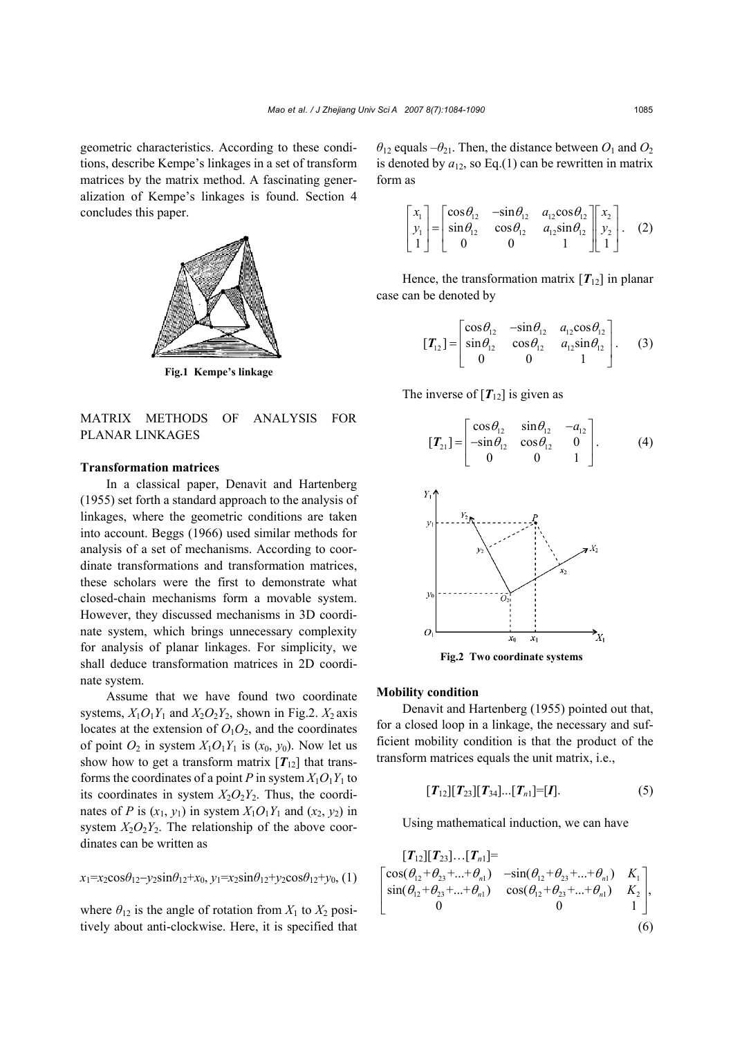geometric characteristics. According to these conditions, describe Kempe's linkages in a set of transform matrices by the matrix method. A fascinating generalization of Kempe's linkages is found. Section 4 concludes this paper.



**Fig.1 Kempe's linkage**

# MATRIX METHODS OF ANALYSIS FOR PLANAR LINKAGES

## **Transformation matrices**

In a classical paper, Denavit and Hartenberg (1955) set forth a standard approach to the analysis of linkages, where the geometric conditions are taken into account. Beggs (1966) used similar methods for analysis of a set of mechanisms. According to coordinate transformations and transformation matrices, these scholars were the first to demonstrate what closed-chain mechanisms form a movable system. However, they discussed mechanisms in 3D coordinate system, which brings unnecessary complexity for analysis of planar linkages. For simplicity, we shall deduce transformation matrices in 2D coordinate system.

Assume that we have found two coordinate systems,  $X_1O_1Y_1$  and  $X_2O_2Y_2$ , shown in Fig.2.  $X_2$  axis locates at the extension of  $O_1O_2$ , and the coordinates of point  $O_2$  in system  $X_1O_1Y_1$  is  $(x_0, y_0)$ . Now let us show how to get a transform matrix  $[T_{12}]$  that transforms the coordinates of a point *P* in system  $X_1O_1Y_1$  to its coordinates in system  $X_2O_2Y_2$ . Thus, the coordinates of *P* is  $(x_1, y_1)$  in system  $X_1O_1Y_1$  and  $(x_2, y_2)$  in system  $X_2O_2Y_2$ . The relationship of the above coordinates can be written as

$$
x_1 = x_2 \cos \theta_{12} - y_2 \sin \theta_{12} + x_0, y_1 = x_2 \sin \theta_{12} + y_2 \cos \theta_{12} + y_0,
$$
 (1)

where  $\theta_{12}$  is the angle of rotation from  $X_1$  to  $X_2$  positively about anti-clockwise. Here, it is specified that  $\theta_{12}$  equals  $-\theta_{21}$ . Then, the distance between  $O_1$  and  $O_2$ is denoted by  $a_{12}$ , so Eq.(1) can be rewritten in matrix form as

$$
\begin{bmatrix} x_1 \\ y_1 \\ 1 \end{bmatrix} = \begin{bmatrix} \cos \theta_{12} & -\sin \theta_{12} & a_{12} \cos \theta_{12} \\ \sin \theta_{12} & \cos \theta_{12} & a_{12} \sin \theta_{12} \\ 0 & 0 & 1 \end{bmatrix} \begin{bmatrix} x_2 \\ y_2 \\ 1 \end{bmatrix}.
$$
 (2)

Hence, the transformation matrix  $[T_{12}]$  in planar case can be denoted by

$$
\begin{bmatrix} T_{12} \end{bmatrix} = \begin{bmatrix} \cos \theta_{12} & -\sin \theta_{12} & a_{12} \cos \theta_{12} \\ \sin \theta_{12} & \cos \theta_{12} & a_{12} \sin \theta_{12} \\ 0 & 0 & 1 \end{bmatrix}.
$$
 (3)

The inverse of  $[T_{12}]$  is given as

$$
\begin{bmatrix} T_{21} \end{bmatrix} = \begin{bmatrix} \cos \theta_{12} & \sin \theta_{12} & -a_{12} \\ -\sin \theta_{12} & \cos \theta_{12} & 0 \\ 0 & 0 & 1 \end{bmatrix}.
$$
 (4)



**Fig.2 Two coordinate systems**

# **Mobility condition**

Denavit and Hartenberg (1955) pointed out that, for a closed loop in a linkage, the necessary and sufficient mobility condition is that the product of the transform matrices equals the unit matrix, i.e.,

$$
[T_{12}][T_{23}][T_{34}][T_{n1}]=[I]. \qquad (5)
$$

Using mathematical induction, we can have

$$
\begin{bmatrix}\n\mathbf{T}_{12} & \mathbf{T}_{23} & \mathbf{T}_{n1}\n\end{bmatrix} =\n\begin{bmatrix}\n\cos(\theta_{12} + \theta_{23} + \dots + \theta_{n1}) & -\sin(\theta_{12} + \theta_{23} + \dots + \theta_{n1}) & K_1 \\
\sin(\theta_{12} + \theta_{23} + \dots + \theta_{n1}) & \cos(\theta_{12} + \theta_{23} + \dots + \theta_{n1}) & K_2 \\
0 & 0 & 1\n\end{bmatrix},
$$
\n(6)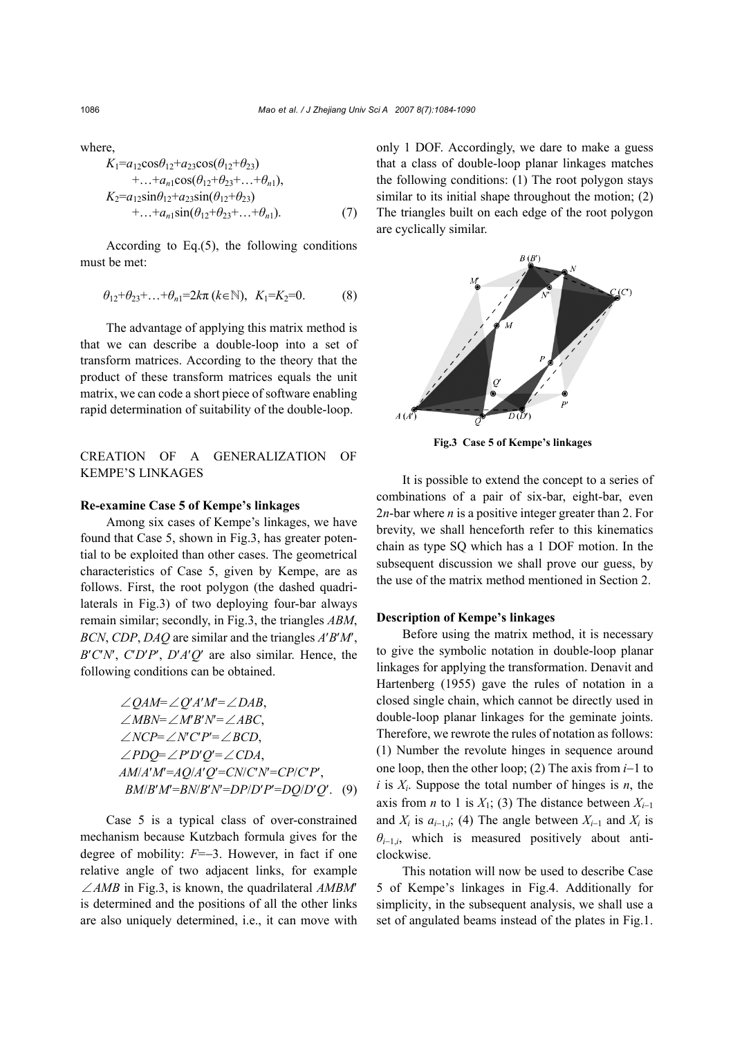where,

$$
K_1 = a_{12} \cos \theta_{12} + a_{23} \cos(\theta_{12} + \theta_{23}) + \dots + a_{n1} \cos(\theta_{12} + \theta_{23} + \dots + \theta_{n1}), K_2 = a_{12} \sin \theta_{12} + a_{23} \sin(\theta_{12} + \theta_{23}) + \dots + a_{n1} \sin(\theta_{12} + \theta_{23} + \dots + \theta_{n1}).
$$
 (7)

According to Eq.(5), the following conditions must be met:

$$
\theta_{12} + \theta_{23} + ... + \theta_{n1} = 2k\pi (k \in \mathbb{N}), K_1 = K_2 = 0.
$$
 (8)

The advantage of applying this matrix method is that we can describe a double-loop into a set of transform matrices. According to the theory that the product of these transform matrices equals the unit matrix, we can code a short piece of software enabling rapid determination of suitability of the double-loop.

## CREATION OF A GENERALIZATION OF KEMPE'S LINKAGES

## **Re-examine Case 5 of Kempe's linkages**

Among six cases of Kempe's linkages, we have found that Case 5, shown in Fig.3, has greater potential to be exploited than other cases. The geometrical characteristics of Case 5, given by Kempe, are as follows. First, the root polygon (the dashed quadrilaterals in Fig.3) of two deploying four-bar always remain similar; secondly, in Fig.3, the triangles *ABM*, *BCN*, *CDP*, *DAQ* are similar and the triangles *A*′*B*′*M*′,  $B'C'N'$ ,  $C'D'P'$ ,  $D'A'Q'$  are also similar. Hence, the following conditions can be obtained.

$$
\angle QAM = \angle Q'A'M' = \angle DAB,
$$
  
\(\angle MBN = \angle M'B'N' = \angle ABC,  
\(\angle NCP = \angle N'C'P' = \angle BCD,  
\(\angle PDQ = \angle P'D'Q' = \angle CDA,  
\(\angle MM/A'M' = AQ/A'Q' = CN/C'N' = CP/C'P',  
\(\angle BM/B'M' = BN'B'N' = DP/D'P' = DQ/D'Q'. (9)

Case 5 is a typical class of over-constrained mechanism because Kutzbach formula gives for the degree of mobility: *F*=−3. However, in fact if one relative angle of two adjacent links, for example ∠*AMB* in Fig.3, is known, the quadrilateral *AMBM*′ is determined and the positions of all the other links are also uniquely determined, i.e., it can move with only 1 DOF. Accordingly, we dare to make a guess that a class of double-loop planar linkages matches the following conditions: (1) The root polygon stays similar to its initial shape throughout the motion; (2) The triangles built on each edge of the root polygon are cyclically similar.



**Fig.3 Case 5 of Kempe's linkages**

It is possible to extend the concept to a series of combinations of a pair of six-bar, eight-bar, even 2*n*-bar where *n* is a positive integer greater than 2. For brevity, we shall henceforth refer to this kinematics chain as type SQ which has a 1 DOF motion. In the subsequent discussion we shall prove our guess, by the use of the matrix method mentioned in Section 2.

### **Description of Kempe's linkages**

Before using the matrix method, it is necessary to give the symbolic notation in double-loop planar linkages for applying the transformation. Denavit and Hartenberg (1955) gave the rules of notation in a closed single chain, which cannot be directly used in double-loop planar linkages for the geminate joints. Therefore, we rewrote the rules of notation as follows: (1) Number the revolute hinges in sequence around one loop, then the other loop; (2) The axis from *i*−1 to  $i$  is  $X_i$ . Suppose the total number of hinges is  $n$ , the axis from *n* to 1 is  $X_1$ ; (3) The distance between  $X_{i-1}$ and  $X_i$  is  $a_{i-1,i}$ ; (4) The angle between  $X_{i-1}$  and  $X_i$  is  $\theta_{i-1,i}$ , which is measured positively about anticlockwise.

This notation will now be used to describe Case 5 of Kempe's linkages in Fig.4. Additionally for simplicity, in the subsequent analysis, we shall use a set of angulated beams instead of the plates in Fig.1.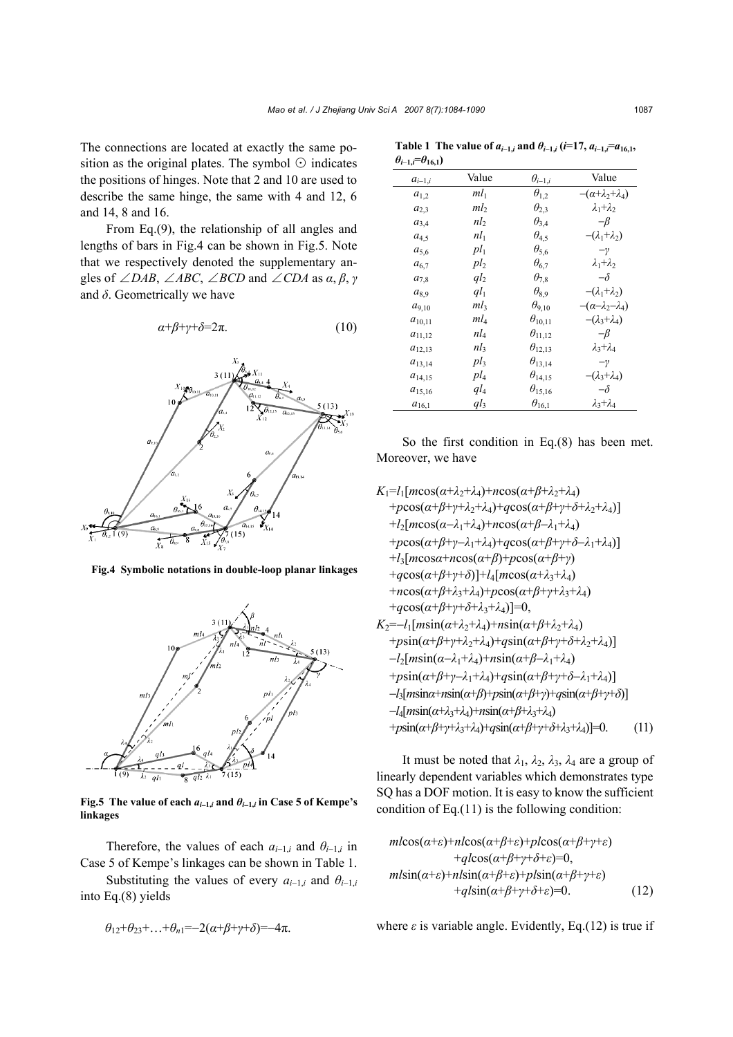The connections are located at exactly the same position as the original plates. The symbol  $\odot$  indicates the positions of hinges. Note that 2 and 10 are used to describe the same hinge, the same with 4 and 12, 6 and 14, 8 and 16.

From Eq.(9), the relationship of all angles and lengths of bars in Fig.4 can be shown in Fig.5. Note that we respectively denoted the supplementary angles of  $\angle DAB$ ,  $\angle ABC$ ,  $\angle BCD$  and  $\angle CDA$  as  $\alpha$ ,  $\beta$ ,  $\gamma$ and  $\delta$ . Geometrically we have

$$
\alpha + \beta + \gamma + \delta = 2\pi. \tag{10}
$$



**Fig.4 Symbolic notations in double-loop planar linkages**



**Fig.5** The value of each  $a_{i-1,i}$  and  $\theta_{i-1,i}$  in Case 5 of Kempe's **linkages** 

Therefore, the values of each  $a_{i-1,i}$  and  $\theta_{i-1,i}$  in Case 5 of Kempe's linkages can be shown in Table 1.

Substituting the values of every  $a_{i-1,i}$  and  $\theta_{i-1,i}$ into Eq.(8) yields

$$
\theta_{12}+\theta_{23}+\ldots+\theta_{n1}=-2(\alpha+\beta+\gamma+\delta)=-4\pi.
$$

| $\theta_{i-1,i} = \theta_{16,1}$ |                 |                              |                                 |
|----------------------------------|-----------------|------------------------------|---------------------------------|
| $a_{i-1,i}$                      | Value           | $\theta_{i-\underline{1},i}$ | Value                           |
| $a_{1,2}$                        | $ml_1$          | $\theta_{1,2}$               | $-(\alpha+\lambda_2+\lambda_4)$ |
| $a_{2,3}$                        | ml <sub>2</sub> | $\theta_{2,3}$               | $\lambda_1 + \lambda_2$         |
| $a_{3,4}$                        | nl <sub>2</sub> | $\theta_{3,4}$               | $-\beta$                        |
| $a_{4,5}$                        | $nl_1$          | $\theta_{4,5}$               | $-(\lambda_1 + \lambda_2)$      |
| $a_{5,6}$                        | $pl_1$          | $\theta_{5,6}$               | $-\gamma$                       |
| $a_{6,7}$                        | pl <sub>2</sub> | $\theta_{6,7}$               | $\lambda_1 + \lambda_2$         |
| $a_{7,8}$                        | ql <sub>2</sub> | $\theta_{7,8}$               | $-\delta$                       |
| $a_{8,9}$                        | $ql_1$          | $\theta_{8,9}$               | $-(\lambda_1+\lambda_2)$        |
| $a_{9,10}$                       | $ml_3$          | $\theta_{9,10}$              | $-(\alpha-\lambda_2-\lambda_4)$ |
| $a_{10,11}$                      | $ml_4$          | $\theta_{10,11}$             | $-(\lambda_3+\lambda_4)$        |
| $a_{11,12}$                      | $nl_4$          | $\theta_{11,12}$             | $-\beta$                        |
| $a_{12,13}$                      | $nl_3$          | $\theta_{12,13}$             | $\lambda_3 + \lambda_4$         |
| $a_{13,14}$                      | $pl_3$          | $\theta_{13,14}$             | $-\gamma$                       |
| $a_{14,15}$                      | $pl_4$          | $\theta_{14,15}$             | $-(\lambda_3 + \lambda_4)$      |
| $a_{15,16}$                      | $ql_4$          | $\theta_{15,16}$             | $-\delta$                       |
| $a_{16,1}$                       | $ql_3$          | $\theta_{16,1}$              | $\lambda_3 + \lambda_4$         |

**Table 1** The value of  $a_{i-1,i}$  and  $\theta_{i-1,i}$  ( $i=17, a_{i-1,i}=a_{16,1}$ , *θi*−**1,***i***=***θ***16,1)**

So the first condition in Eq.(8) has been met. Moreover, we have

$$
K_{1} = l_{1}[m\cos(\alpha+\lambda_{2}+\lambda_{4})+n\cos(\alpha+\beta+\lambda_{2}+\lambda_{4})
$$
  
+ $p\cos(\alpha+\beta+\gamma+\lambda_{2}+\lambda_{4})+q\cos(\alpha+\beta+\gamma+\delta+\lambda_{2}+\lambda_{4})]$   
+ $l_{2}[m\cos(\alpha-\lambda_{1}+\lambda_{4})+n\cos(\alpha+\beta-\lambda_{1}+\lambda_{4})$   
+ $p\cos(\alpha+\beta+\gamma-\lambda_{1}+\lambda_{4})+q\cos(\alpha+\beta+\gamma+\delta-\lambda_{1}+\lambda_{4})]$   
+ $l_{3}[m\cos\alpha+n\cos(\alpha+\beta)+p\cos(\alpha+\beta+\gamma)$   
+ $q\cos(\alpha+\beta+\gamma+\delta)]+l_{4}[m\cos(\alpha+\lambda_{3}+\lambda_{4})$   
+ $n\cos(\alpha+\beta+\lambda_{3}+\lambda_{4})+p\cos(\alpha+\beta+\gamma+\lambda_{3}+\lambda_{4})$   
+ $q\cos(\alpha+\beta+\gamma+\delta+\lambda_{3}+\lambda_{4})]=0,$   
 $K_{2}=-l_{1}[m\sin(\alpha+\lambda_{2}+\lambda_{4})+n\sin(\alpha+\beta+\lambda_{2}+\lambda_{4})$   
+ $p\sin(\alpha+\beta+\gamma+\lambda_{2}+\lambda_{4})+q\sin(\alpha+\beta+\gamma+\delta+\lambda_{2}+\lambda_{4})]$   
- $l_{2}[m\sin(\alpha-\lambda_{1}+\lambda_{4})+n\sin(\alpha+\beta-\lambda_{1}+\lambda_{4})$   
+ $p\sin(\alpha+\beta+\gamma-\lambda_{1}+\lambda_{4})+q\sin(\alpha+\beta+\gamma+\delta-\lambda_{1}+\lambda_{4})]$   
- $l_{3}[m\sin\alpha+n\sin(\alpha+\beta)+p\sin(\alpha+\beta+\gamma+\delta-\lambda_{1}+\lambda_{4})]$   
- $l_{4}[m\sin(\alpha+\lambda_{3}+\lambda_{4})+n\sin(\alpha+\beta+\lambda_{3}+\lambda_{4})$   
+ $p\sin(\alpha+\beta+\gamma+\lambda_{3}+\lambda_{4})+q\sin(\alpha+\beta+\gamma+\delta+\lambda_{3}+\lambda_{4})]=0.$  (11)

It must be noted that  $\lambda_1$ ,  $\lambda_2$ ,  $\lambda_3$ ,  $\lambda_4$  are a group of linearly dependent variables which demonstrates type SQ has a DOF motion. It is easy to know the sufficient condition of Eq. $(11)$  is the following condition:

$$
ml\cos(\alpha+\varepsilon)+nl\cos(\alpha+\beta+\varepsilon)+pl\cos(\alpha+\beta+\gamma+\varepsilon)+ql\cos(\alpha+\beta+\gamma+\delta+\varepsilon)=0,ml\sin(\alpha+\varepsilon)+nl\sin(\alpha+\beta+\varepsilon)+pl\sin(\alpha+\beta+\gamma+\varepsilon)+ql\sin(\alpha+\beta+\gamma+\delta+\varepsilon)=0.
$$
 (12)

where  $\varepsilon$  is variable angle. Evidently, Eq.(12) is true if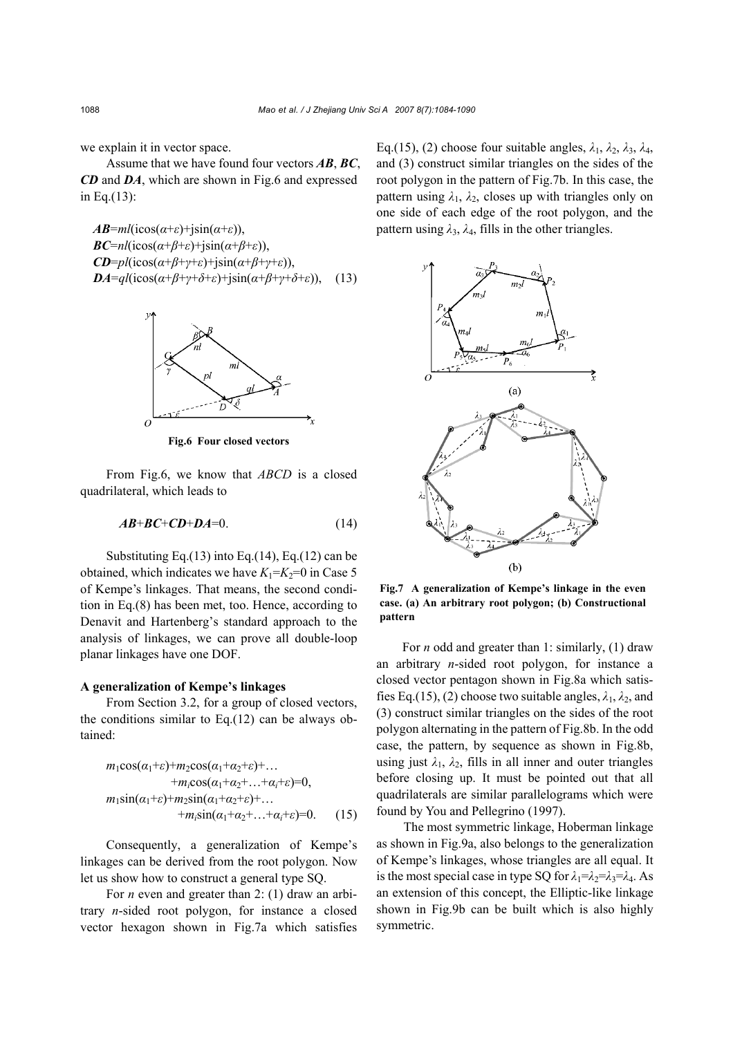we explain it in vector space.

Assume that we have found four vectors *AB*, *BC*, *CD* and *DA*, which are shown in Fig.6 and expressed in Eq.(13):

*AB*=*ml*(icos( $α+ε$ )+jsin( $α+ε$ )), *BC*=*nl*(icos( $\alpha$ +*β*+*ε*)+jsin( $\alpha$ +*β*+*ε*)), *CD*=*pl*(icos(*α*+*β*+*γ*+*ε*)+jsin(*α*+*β*+*γ*+*ε*)), *DA*= $ql(i\cos(\alpha+\beta+\gamma+\delta+\varepsilon)+j\sin(\alpha+\beta+\gamma+\delta+\varepsilon))$ , (13)



**Fig.6 Four closed vectors**

From Fig.6, we know that *ABCD* is a closed quadrilateral, which leads to

$$
AB+BC+CD+DA=0.
$$
 (14)

Substituting Eq. $(13)$  into Eq. $(14)$ , Eq. $(12)$  can be obtained, which indicates we have  $K_1 = K_2 = 0$  in Case 5 of Kempe's linkages. That means, the second condition in Eq.(8) has been met, too. Hence, according to Denavit and Hartenberg's standard approach to the analysis of linkages, we can prove all double-loop planar linkages have one DOF.

#### **A generalization of Kempe's linkages**

From Section 3.2, for a group of closed vectors, the conditions similar to Eq.(12) can be always obtained:

$$
m_1 \cos(\alpha_1 + \varepsilon) + m_2 \cos(\alpha_1 + \alpha_2 + \varepsilon) + ... + m_i \cos(\alpha_1 + \alpha_2 + ... + \alpha_i + \varepsilon) = 0,
$$
  

$$
m_1 \sin(\alpha_1 + \varepsilon) + m_2 \sin(\alpha_1 + \alpha_2 + \varepsilon) + ... + m_i \sin(\alpha_1 + \alpha_2 + ... + \alpha_i + \varepsilon) = 0.
$$
 (15)

Consequently, a generalization of Kempe's linkages can be derived from the root polygon. Now let us show how to construct a general type SQ.

For *n* even and greater than 2: (1) draw an arbitrary *n*-sided root polygon, for instance a closed vector hexagon shown in Fig.7a which satisfies Eq.(15), (2) choose four suitable angles,  $\lambda_1$ ,  $\lambda_2$ ,  $\lambda_3$ ,  $\lambda_4$ , and (3) construct similar triangles on the sides of the root polygon in the pattern of Fig.7b. In this case, the pattern using  $\lambda_1$ ,  $\lambda_2$ , closes up with triangles only on one side of each edge of the root polygon, and the pattern using  $\lambda_3$ ,  $\lambda_4$ , fills in the other triangles.



**Fig.7 A generalization of Kempe's linkage in the even case. (a) An arbitrary root polygon; (b) Constructional pattern**

For *n* odd and greater than 1: similarly, (1) draw an arbitrary *n*-sided root polygon, for instance a closed vector pentagon shown in Fig.8a which satisfies Eq.(15), (2) choose two suitable angles,  $\lambda_1$ ,  $\lambda_2$ , and (3) construct similar triangles on the sides of the root polygon alternating in the pattern of Fig.8b. In the odd case, the pattern, by sequence as shown in Fig.8b, using just  $\lambda_1$ ,  $\lambda_2$ , fills in all inner and outer triangles before closing up. It must be pointed out that all quadrilaterals are similar parallelograms which were found by You and Pellegrino (1997).

The most symmetric linkage, Hoberman linkage as shown in Fig.9a, also belongs to the generalization of Kempe's linkages, whose triangles are all equal. It is the most special case in type SQ for  $\lambda_1 = \lambda_2 = \lambda_3 = \lambda_4$ . As an extension of this concept, the Elliptic-like linkage shown in Fig.9b can be built which is also highly symmetric.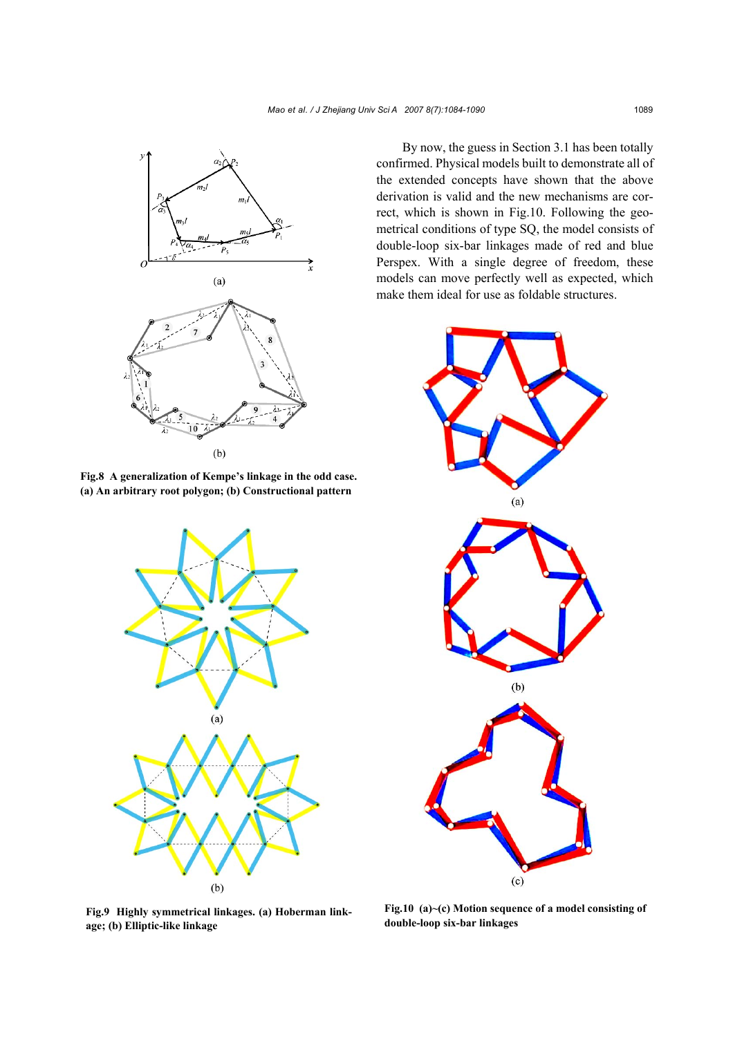

**Fig.8 A generalization of Kempe's linkage in the odd case. (a) An arbitrary root polygon; (b) Constructional pattern**



**Fig.9 Highly symmetrical linkages. (a) Hoberman linkage; (b) Elliptic-like linkage**

By now, the guess in Section 3.1 has been totally confirmed. Physical models built to demonstrate all of the extended concepts have shown that the above derivation is valid and the new mechanisms are correct, which is shown in Fig.10. Following the geometrical conditions of type SQ, the model consists of double-loop six-bar linkages made of red and blue Perspex. With a single degree of freedom, these models can move perfectly well as expected, which make them ideal for use as foldable structures.



**Fig.10 (a)~(c) Motion sequence of a model consisting of double-loop six-bar linkages**